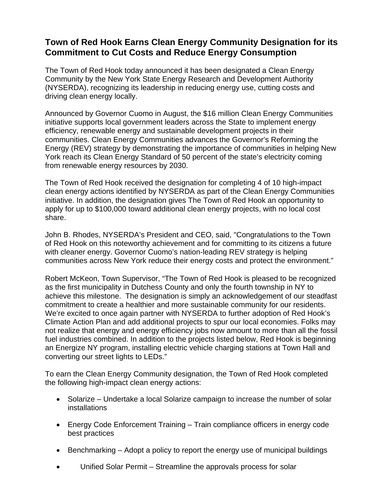## **Town of Red Hook Earns Clean Energy Community Designation for its Commitment to Cut Costs and Reduce Energy Consumption**

The Town of Red Hook today announced it has been designated a Clean Energy Community by the New York State Energy Research and Development Authority (NYSERDA), recognizing its leadership in reducing energy use, cutting costs and driving clean energy locally.

Announced by Governor Cuomo in August, the \$16 million Clean Energy Communities initiative supports local government leaders across the State to implement energy efficiency, renewable energy and sustainable development projects in their communities. Clean Energy Communities advances the Governor's Reforming the Energy (REV) strategy by demonstrating the importance of communities in helping New York reach its Clean Energy Standard of 50 percent of the state's electricity coming from renewable energy resources by 2030.

The Town of Red Hook received the designation for completing 4 of 10 high-impact clean energy actions identified by NYSERDA as part of the Clean Energy Communities initiative. In addition, the designation gives The Town of Red Hook an opportunity to apply for up to \$100,000 toward additional clean energy projects, with no local cost share.

John B. Rhodes, NYSERDA's President and CEO, said, "Congratulations to the Town of Red Hook on this noteworthy achievement and for committing to its citizens a future with cleaner energy. Governor Cuomo's nation-leading REV strategy is helping communities across New York reduce their energy costs and protect the environment."

Robert McKeon, Town Supervisor, "The Town of Red Hook is pleased to be recognized as the first municipality in Dutchess County and only the fourth township in NY to achieve this milestone. The designation is simply an acknowledgement of our steadfast commitment to create a healthier and more sustainable community for our residents. We're excited to once again partner with NYSERDA to further adoption of Red Hook's Climate Action Plan and add additional projects to spur our local economies. Folks may not realize that energy and energy efficiency jobs now amount to more than all the fossil fuel industries combined. In addition to the projects listed below, Red Hook is beginning an Energize NY program, installing electric vehicle charging stations at Town Hall and converting our street lights to LEDs."

To earn the Clean Energy Community designation, the Town of Red Hook completed the following high-impact clean energy actions:

- Solarize Undertake a local Solarize campaign to increase the number of solar installations
- Energy Code Enforcement Training Train compliance officers in energy code best practices
- $\bullet$  Benchmarking Adopt a policy to report the energy use of municipal buildings
- Unified Solar Permit Streamline the approvals process for solar